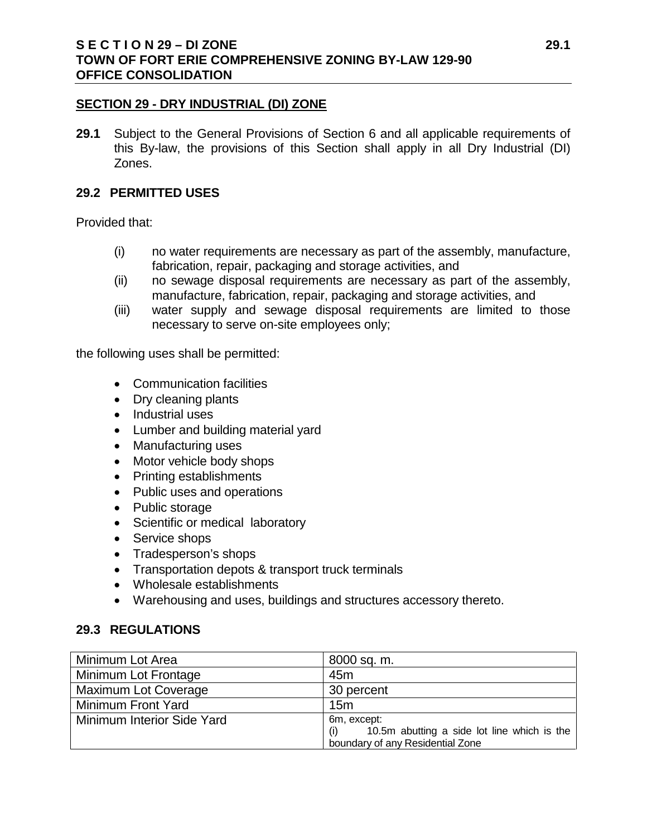### **S E C T I O N 29 – DI ZONE 29.1 TOWN OF FORT ERIE COMPREHENSIVE ZONING BY-LAW 129-90 OFFICE CONSOLIDATION**

### **SECTION 29 - DRY INDUSTRIAL (DI) ZONE**

**29.1** Subject to the General Provisions of Section 6 and all applicable requirements of this By-law, the provisions of this Section shall apply in all Dry Industrial (DI) Zones.

#### **29.2 PERMITTED USES**

Provided that:

- (i) no water requirements are necessary as part of the assembly, manufacture, fabrication, repair, packaging and storage activities, and
- (ii) no sewage disposal requirements are necessary as part of the assembly, manufacture, fabrication, repair, packaging and storage activities, and
- (iii) water supply and sewage disposal requirements are limited to those necessary to serve on-site employees only;

the following uses shall be permitted:

- Communication facilities
- Dry cleaning plants
- Industrial uses
- Lumber and building material yard
- Manufacturing uses
- Motor vehicle body shops
- Printing establishments
- Public uses and operations
- Public storage
- Scientific or medical laboratory
- Service shops
- Tradesperson's shops
- Transportation depots & transport truck terminals
- Wholesale establishments
- Warehousing and uses, buildings and structures accessory thereto.

### **29.3 REGULATIONS**

| Minimum Lot Area            | 8000 sq. m.                                        |
|-----------------------------|----------------------------------------------------|
| Minimum Lot Frontage        | 45 <sub>m</sub>                                    |
| <b>Maximum Lot Coverage</b> | 30 percent                                         |
| Minimum Front Yard          | 15 <sub>m</sub>                                    |
| Minimum Interior Side Yard  | 6m, except:                                        |
|                             | 10.5m abutting a side lot line which is the<br>(i) |
|                             | boundary of any Residential Zone                   |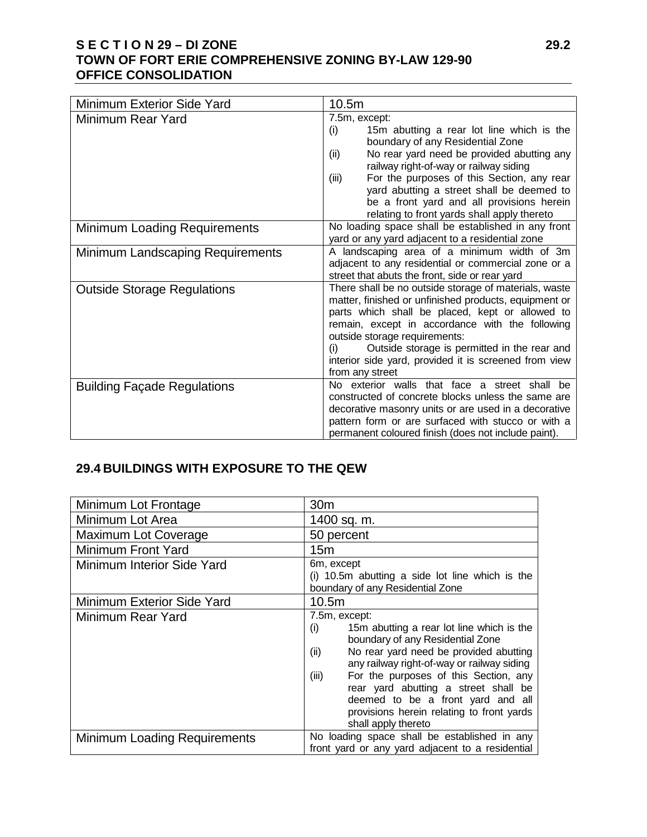# **S E C T I O N 29 – DI ZONE 29.2 TOWN OF FORT ERIE COMPREHENSIVE ZONING BY-LAW 129-90 OFFICE CONSOLIDATION**

| Minimum Exterior Side Yard         | 10.5m                                                                                                                                                                                                                                                                                                                                                                                                 |
|------------------------------------|-------------------------------------------------------------------------------------------------------------------------------------------------------------------------------------------------------------------------------------------------------------------------------------------------------------------------------------------------------------------------------------------------------|
| Minimum Rear Yard                  | 7.5m, except:<br>15m abutting a rear lot line which is the<br>(i)<br>boundary of any Residential Zone<br>No rear yard need be provided abutting any<br>(ii)<br>railway right-of-way or railway siding<br>For the purposes of this Section, any rear<br>(iii)<br>yard abutting a street shall be deemed to<br>be a front yard and all provisions herein<br>relating to front yards shall apply thereto |
| Minimum Loading Requirements       | No loading space shall be established in any front<br>yard or any yard adjacent to a residential zone                                                                                                                                                                                                                                                                                                 |
| Minimum Landscaping Requirements   | A landscaping area of a minimum width of 3m<br>adjacent to any residential or commercial zone or a<br>street that abuts the front, side or rear yard                                                                                                                                                                                                                                                  |
| <b>Outside Storage Regulations</b> | There shall be no outside storage of materials, waste<br>matter, finished or unfinished products, equipment or<br>parts which shall be placed, kept or allowed to<br>remain, except in accordance with the following<br>outside storage requirements:<br>Outside storage is permitted in the rear and<br>(i)<br>interior side yard, provided it is screened from view<br>from any street              |
| <b>Building Façade Regulations</b> | No exterior walls that face a street shall be<br>constructed of concrete blocks unless the same are<br>decorative masonry units or are used in a decorative<br>pattern form or are surfaced with stucco or with a<br>permanent coloured finish (does not include paint).                                                                                                                              |

# **29.4 BUILDINGS WITH EXPOSURE TO THE QEW**

| Minimum Lot Frontage                | 30 <sub>m</sub>                                                                                                                                                                                                                                                                                                                                                                                          |
|-------------------------------------|----------------------------------------------------------------------------------------------------------------------------------------------------------------------------------------------------------------------------------------------------------------------------------------------------------------------------------------------------------------------------------------------------------|
| Minimum Lot Area                    | 1400 sq. m.                                                                                                                                                                                                                                                                                                                                                                                              |
| Maximum Lot Coverage                | 50 percent                                                                                                                                                                                                                                                                                                                                                                                               |
| Minimum Front Yard                  | 15m                                                                                                                                                                                                                                                                                                                                                                                                      |
| <b>Minimum Interior Side Yard</b>   | 6m, except<br>$(i)$ 10.5m abutting a side lot line which is the<br>boundary of any Residential Zone                                                                                                                                                                                                                                                                                                      |
| Minimum Exterior Side Yard          | 10.5m                                                                                                                                                                                                                                                                                                                                                                                                    |
| Minimum Rear Yard                   | 7.5m, except:<br>15m abutting a rear lot line which is the<br>(i)<br>boundary of any Residential Zone<br>No rear yard need be provided abutting<br>(ii)<br>any railway right-of-way or railway siding<br>For the purposes of this Section, any<br>(iii)<br>rear yard abutting a street shall be<br>deemed to be a front yard and all<br>provisions herein relating to front yards<br>shall apply thereto |
| <b>Minimum Loading Requirements</b> | No loading space shall be established in any<br>front yard or any yard adjacent to a residential                                                                                                                                                                                                                                                                                                         |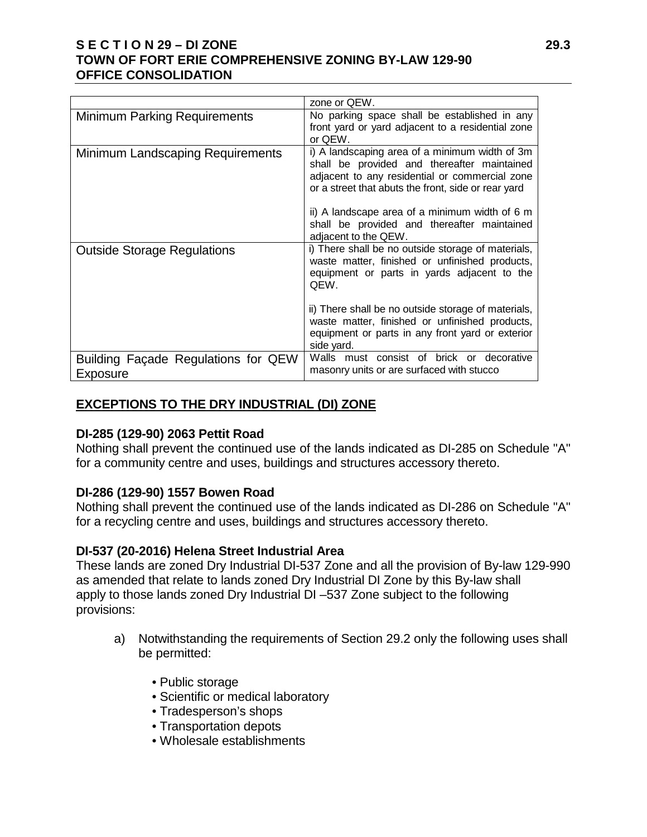### **S E C T I O N 29 – DI ZONE 29.3 TOWN OF FORT ERIE COMPREHENSIVE ZONING BY-LAW 129-90 OFFICE CONSOLIDATION**

|                                                 | zone or QEW.                                                                                                                                                                                                                                                                                                                           |
|-------------------------------------------------|----------------------------------------------------------------------------------------------------------------------------------------------------------------------------------------------------------------------------------------------------------------------------------------------------------------------------------------|
| <b>Minimum Parking Requirements</b>             | No parking space shall be established in any<br>front yard or yard adjacent to a residential zone<br>or QEW.                                                                                                                                                                                                                           |
| Minimum Landscaping Requirements                | i) A landscaping area of a minimum width of 3m<br>shall be provided and thereafter maintained<br>adjacent to any residential or commercial zone<br>or a street that abuts the front, side or rear yard<br>ii) A landscape area of a minimum width of 6 m<br>shall be provided and thereafter maintained<br>adjacent to the QEW.        |
| <b>Outside Storage Regulations</b>              | i) There shall be no outside storage of materials,<br>waste matter, finished or unfinished products,<br>equipment or parts in yards adjacent to the<br>QEW.<br>ii) There shall be no outside storage of materials,<br>waste matter, finished or unfinished products,<br>equipment or parts in any front yard or exterior<br>side yard. |
| Building Façade Regulations for QEW<br>Exposure | Walls must consist of brick or decorative<br>masonry units or are surfaced with stucco                                                                                                                                                                                                                                                 |

# **EXCEPTIONS TO THE DRY INDUSTRIAL (DI) ZONE**

### **DI-285 (129-90) 2063 Pettit Road**

Nothing shall prevent the continued use of the lands indicated as DI-285 on Schedule "A" for a community centre and uses, buildings and structures accessory thereto.

### **DI-286 (129-90) 1557 Bowen Road**

Nothing shall prevent the continued use of the lands indicated as DI-286 on Schedule "A" for a recycling centre and uses, buildings and structures accessory thereto.

### **DI-537 (20-2016) Helena Street Industrial Area**

These lands are zoned Dry Industrial DI-537 Zone and all the provision of By-law 129-990 as amended that relate to lands zoned Dry Industrial DI Zone by this By-law shall apply to those lands zoned Dry Industrial DI –537 Zone subject to the following provisions:

- a) Notwithstanding the requirements of Section 29.2 only the following uses shall be permitted:
	- Public storage
	- Scientific or medical laboratory
	- Tradesperson's shops
	- Transportation depots
	- Wholesale establishments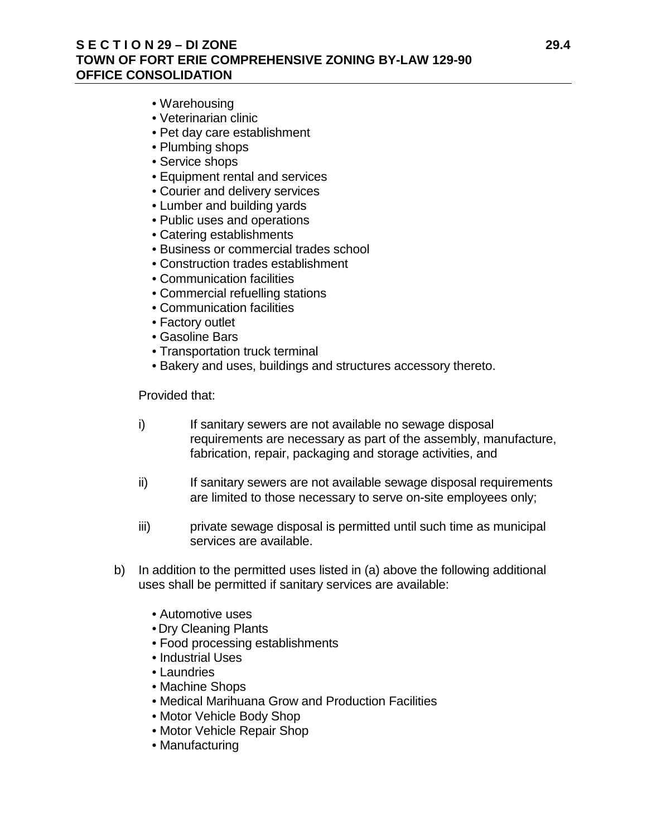## **S E C T I O N 29 – DI ZONE 29.4 TOWN OF FORT ERIE COMPREHENSIVE ZONING BY-LAW 129-90 OFFICE CONSOLIDATION**

- Warehousing
- Veterinarian clinic
- Pet day care establishment
- Plumbing shops
- Service shops
- Equipment rental and services
- Courier and delivery services
- Lumber and building yards
- Public uses and operations
- Catering establishments
- Business or commercial trades school
- Construction trades establishment
- Communication facilities
- Commercial refuelling stations
- Communication facilities
- Factory outlet
- Gasoline Bars
- Transportation truck terminal
- Bakery and uses, buildings and structures accessory thereto.

Provided that:

- i) If sanitary sewers are not available no sewage disposal requirements are necessary as part of the assembly, manufacture, fabrication, repair, packaging and storage activities, and
- ii) If sanitary sewers are not available sewage disposal requirements are limited to those necessary to serve on-site employees only;
- iii) private sewage disposal is permitted until such time as municipal services are available.
- b) In addition to the permitted uses listed in (a) above the following additional uses shall be permitted if sanitary services are available:
	- Automotive uses
	- Dry Cleaning Plants
	- Food processing establishments
	- Industrial Uses
	- Laundries
	- Machine Shops
	- Medical Marihuana Grow and Production Facilities
	- Motor Vehicle Body Shop
	- Motor Vehicle Repair Shop
	- Manufacturing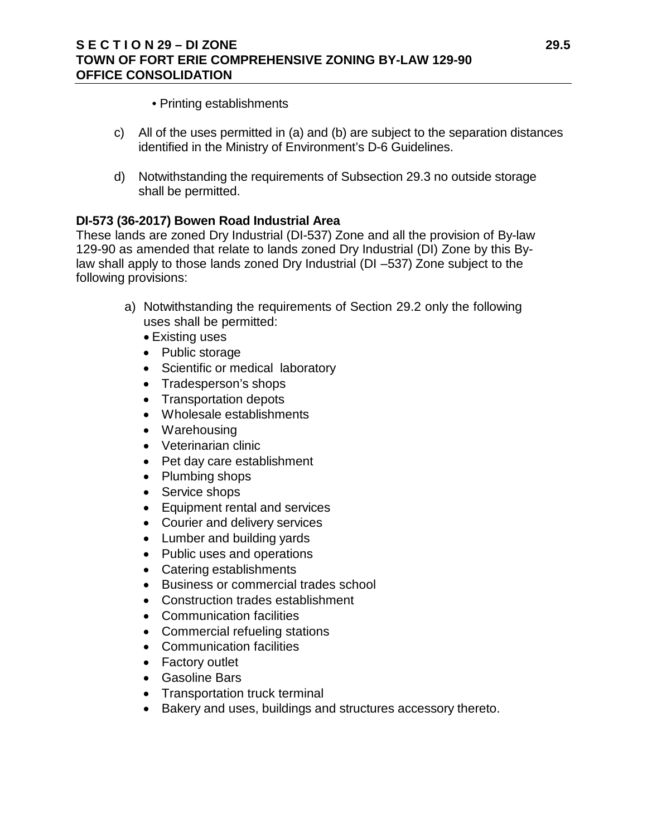- Printing establishments
- c) All of the uses permitted in (a) and (b) are subject to the separation distances identified in the Ministry of Environment's D-6 Guidelines.
- d) Notwithstanding the requirements of Subsection 29.3 no outside storage shall be permitted.

# **DI-573 (36-2017) Bowen Road Industrial Area**

These lands are zoned Dry Industrial (DI-537) Zone and all the provision of By-law 129-90 as amended that relate to lands zoned Dry Industrial (DI) Zone by this Bylaw shall apply to those lands zoned Dry Industrial (DI –537) Zone subject to the following provisions:

- a) Notwithstanding the requirements of Section 29.2 only the following uses shall be permitted:
	- Existing uses
	- Public storage
	- Scientific or medical laboratory
	- Tradesperson's shops
	- Transportation depots
	- Wholesale establishments
	- Warehousing
	- Veterinarian clinic
	- Pet day care establishment
	- Plumbing shops
	- Service shops
	- Equipment rental and services
	- Courier and delivery services
	- Lumber and building yards
	- Public uses and operations
	- Catering establishments
	- Business or commercial trades school
	- Construction trades establishment
	- Communication facilities
	- Commercial refueling stations
	- Communication facilities
	- Factory outlet
	- Gasoline Bars
	- Transportation truck terminal
	- Bakery and uses, buildings and structures accessory thereto.